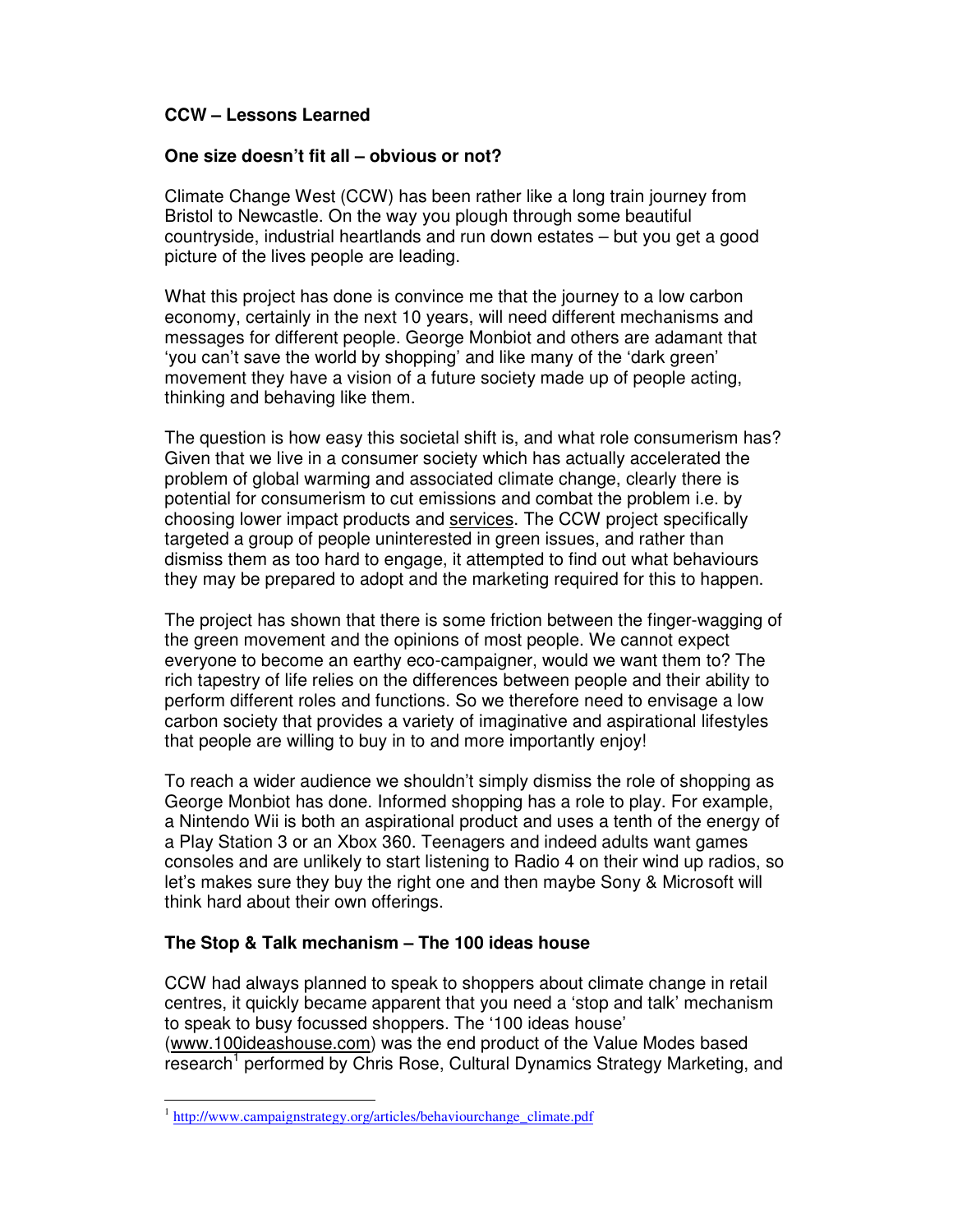# **CCW – Lessons Learned**

### **One size doesn't fit all – obvious or not?**

Climate Change West (CCW) has been rather like a long train journey from Bristol to Newcastle. On the way you plough through some beautiful countryside, industrial heartlands and run down estates – but you get a good picture of the lives people are leading.

What this project has done is convince me that the journey to a low carbon economy, certainly in the next 10 years, will need different mechanisms and messages for different people. George Monbiot and others are adamant that 'you can't save the world by shopping' and like many of the 'dark green' movement they have a vision of a future society made up of people acting, thinking and behaving like them.

The question is how easy this societal shift is, and what role consumerism has? Given that we live in a consumer society which has actually accelerated the problem of global warming and associated climate change, clearly there is potential for consumerism to cut emissions and combat the problem i.e. by choosing lower impact products and services. The CCW project specifically targeted a group of people uninterested in green issues, and rather than dismiss them as too hard to engage, it attempted to find out what behaviours they may be prepared to adopt and the marketing required for this to happen.

The project has shown that there is some friction between the finger-wagging of the green movement and the opinions of most people. We cannot expect everyone to become an earthy eco-campaigner, would we want them to? The rich tapestry of life relies on the differences between people and their ability to perform different roles and functions. So we therefore need to envisage a low carbon society that provides a variety of imaginative and aspirational lifestyles that people are willing to buy in to and more importantly enjoy!

To reach a wider audience we shouldn't simply dismiss the role of shopping as George Monbiot has done. Informed shopping has a role to play. For example, a Nintendo Wii is both an aspirational product and uses a tenth of the energy of a Play Station 3 or an Xbox 360. Teenagers and indeed adults want games consoles and are unlikely to start listening to Radio 4 on their wind up radios, so let's makes sure they buy the right one and then maybe Sony & Microsoft will think hard about their own offerings.

## **The Stop & Talk mechanism – The 100 ideas house**

CCW had always planned to speak to shoppers about climate change in retail centres, it quickly became apparent that you need a 'stop and talk' mechanism to speak to busy focussed shoppers. The '100 ideas house' (www.100ideashouse.com) was the end product of the Value Modes based research<sup>1</sup> performed by Chris Rose, Cultural Dynamics Strategy Marketing, and

 $\ddot{\phantom{a}}$ 

<sup>&</sup>lt;sup>1</sup> http://www.campaignstrategy.org/articles/behaviourchange\_climate.pdf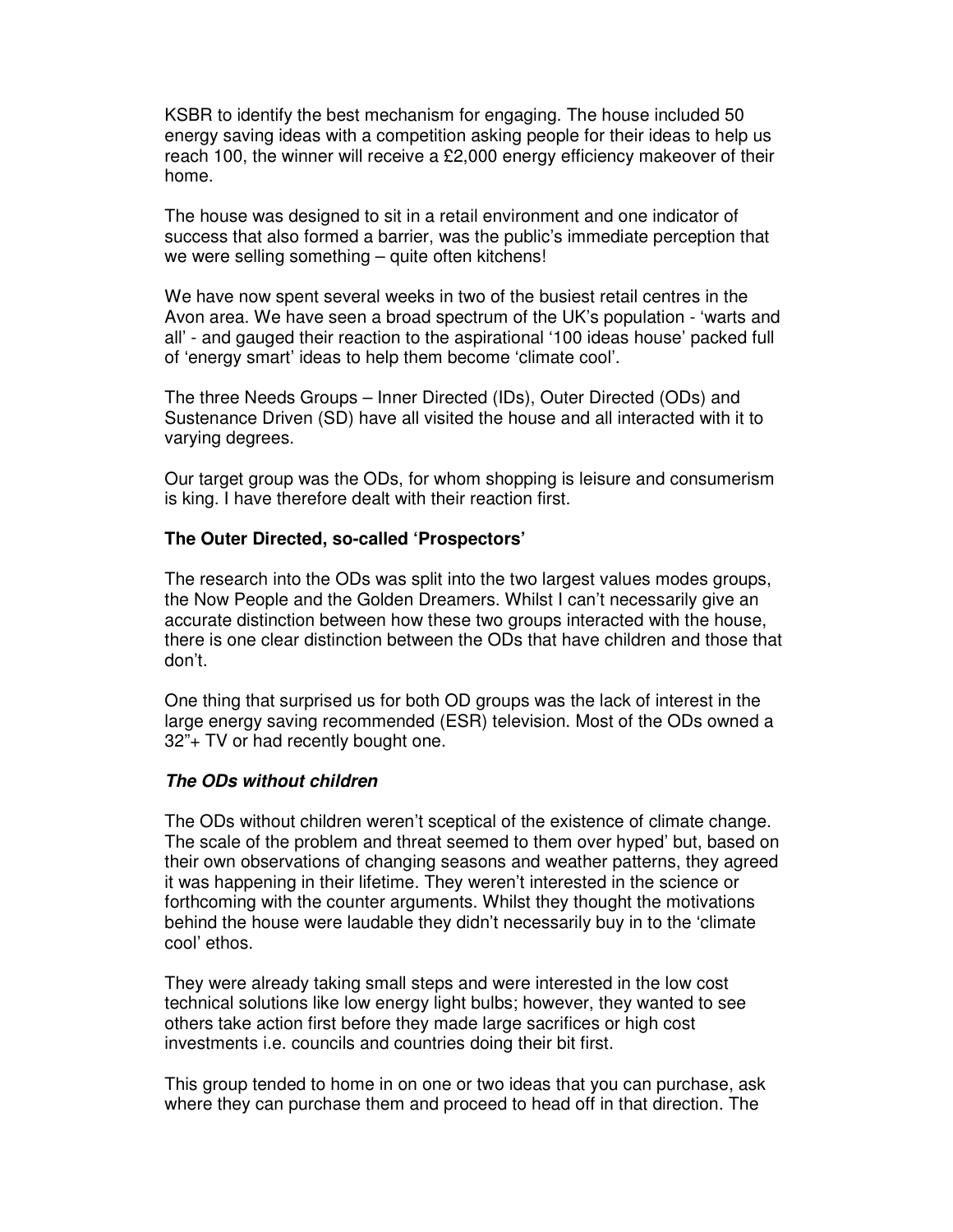KSBR to identify the best mechanism for engaging. The house included 50 energy saving ideas with a competition asking people for their ideas to help us reach 100, the winner will receive a £2,000 energy efficiency makeover of their home.

The house was designed to sit in a retail environment and one indicator of success that also formed a barrier, was the public's immediate perception that we were selling something – quite often kitchens!

We have now spent several weeks in two of the busiest retail centres in the Avon area. We have seen a broad spectrum of the UK's population - 'warts and all' - and gauged their reaction to the aspirational '100 ideas house' packed full of 'energy smart' ideas to help them become 'climate cool'.

The three Needs Groups – Inner Directed (IDs), Outer Directed (ODs) and Sustenance Driven (SD) have all visited the house and all interacted with it to varying degrees.

Our target group was the ODs, for whom shopping is leisure and consumerism is king. I have therefore dealt with their reaction first.

#### **The Outer Directed, so-called 'Prospectors'**

The research into the ODs was split into the two largest values modes groups, the Now People and the Golden Dreamers. Whilst I can't necessarily give an accurate distinction between how these two groups interacted with the house, there is one clear distinction between the ODs that have children and those that don't.

One thing that surprised us for both OD groups was the lack of interest in the large energy saving recommended (ESR) television. Most of the ODs owned a 32"+ TV or had recently bought one.

#### **The ODs without children**

The ODs without children weren't sceptical of the existence of climate change. The scale of the problem and threat seemed to them over hyped' but, based on their own observations of changing seasons and weather patterns, they agreed it was happening in their lifetime. They weren't interested in the science or forthcoming with the counter arguments. Whilst they thought the motivations behind the house were laudable they didn't necessarily buy in to the 'climate cool' ethos.

They were already taking small steps and were interested in the low cost technical solutions like low energy light bulbs; however, they wanted to see others take action first before they made large sacrifices or high cost investments i.e. councils and countries doing their bit first.

This group tended to home in on one or two ideas that you can purchase, ask where they can purchase them and proceed to head off in that direction. The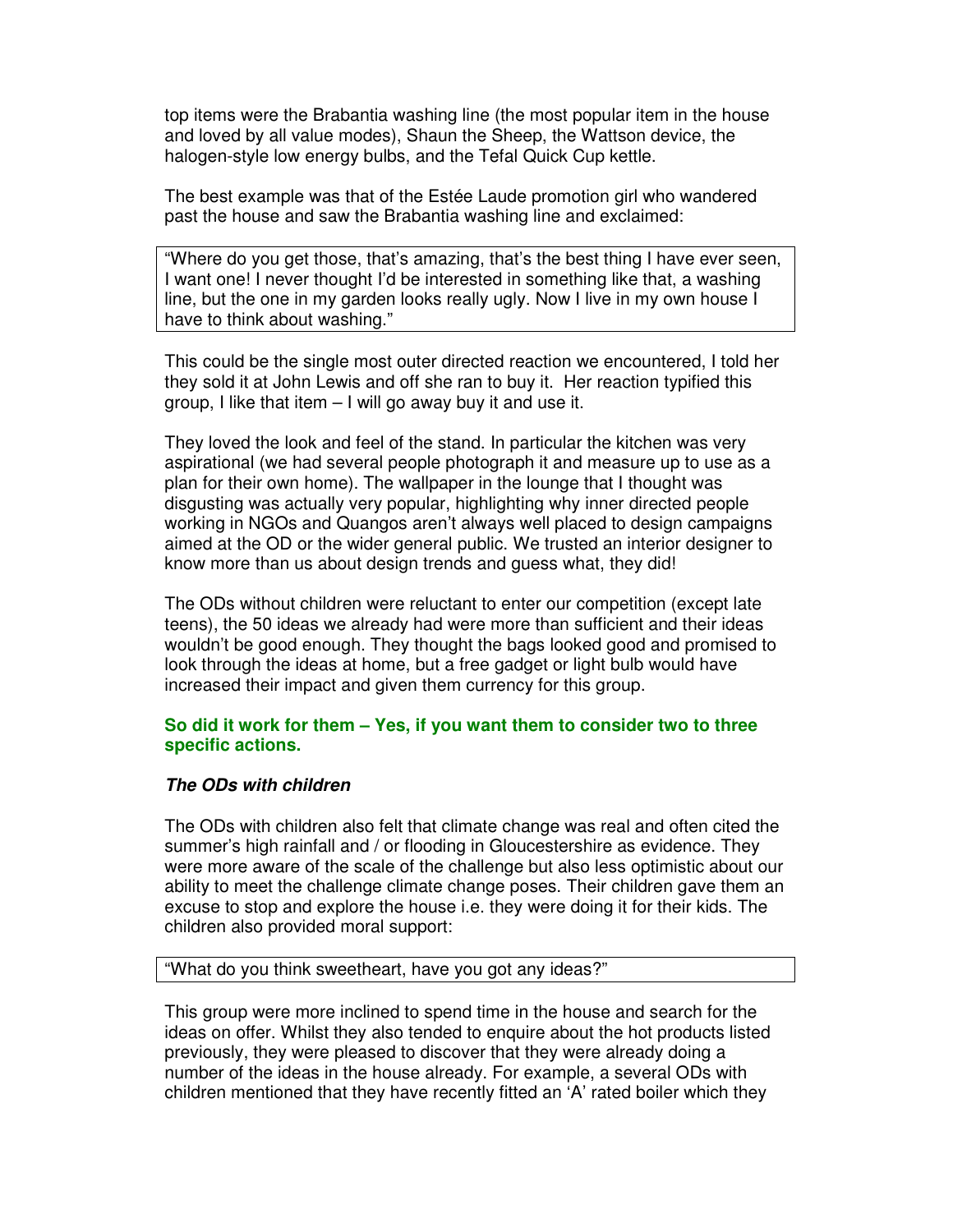top items were the Brabantia washing line (the most popular item in the house and loved by all value modes), Shaun the Sheep, the Wattson device, the halogen-style low energy bulbs, and the Tefal Quick Cup kettle.

The best example was that of the Estée Laude promotion girl who wandered past the house and saw the Brabantia washing line and exclaimed:

"Where do you get those, that's amazing, that's the best thing I have ever seen, I want one! I never thought I'd be interested in something like that, a washing line, but the one in my garden looks really ugly. Now I live in my own house I have to think about washing."

This could be the single most outer directed reaction we encountered, I told her they sold it at John Lewis and off she ran to buy it. Her reaction typified this group, I like that item – I will go away buy it and use it.

They loved the look and feel of the stand. In particular the kitchen was very aspirational (we had several people photograph it and measure up to use as a plan for their own home). The wallpaper in the lounge that I thought was disgusting was actually very popular, highlighting why inner directed people working in NGOs and Quangos aren't always well placed to design campaigns aimed at the OD or the wider general public. We trusted an interior designer to know more than us about design trends and guess what, they did!

The ODs without children were reluctant to enter our competition (except late teens), the 50 ideas we already had were more than sufficient and their ideas wouldn't be good enough. They thought the bags looked good and promised to look through the ideas at home, but a free gadget or light bulb would have increased their impact and given them currency for this group.

#### **So did it work for them – Yes, if you want them to consider two to three specific actions.**

#### **The ODs with children**

The ODs with children also felt that climate change was real and often cited the summer's high rainfall and / or flooding in Gloucestershire as evidence. They were more aware of the scale of the challenge but also less optimistic about our ability to meet the challenge climate change poses. Their children gave them an excuse to stop and explore the house i.e. they were doing it for their kids. The children also provided moral support:

### "What do you think sweetheart, have you got any ideas?"

This group were more inclined to spend time in the house and search for the ideas on offer. Whilst they also tended to enquire about the hot products listed previously, they were pleased to discover that they were already doing a number of the ideas in the house already. For example, a several ODs with children mentioned that they have recently fitted an 'A' rated boiler which they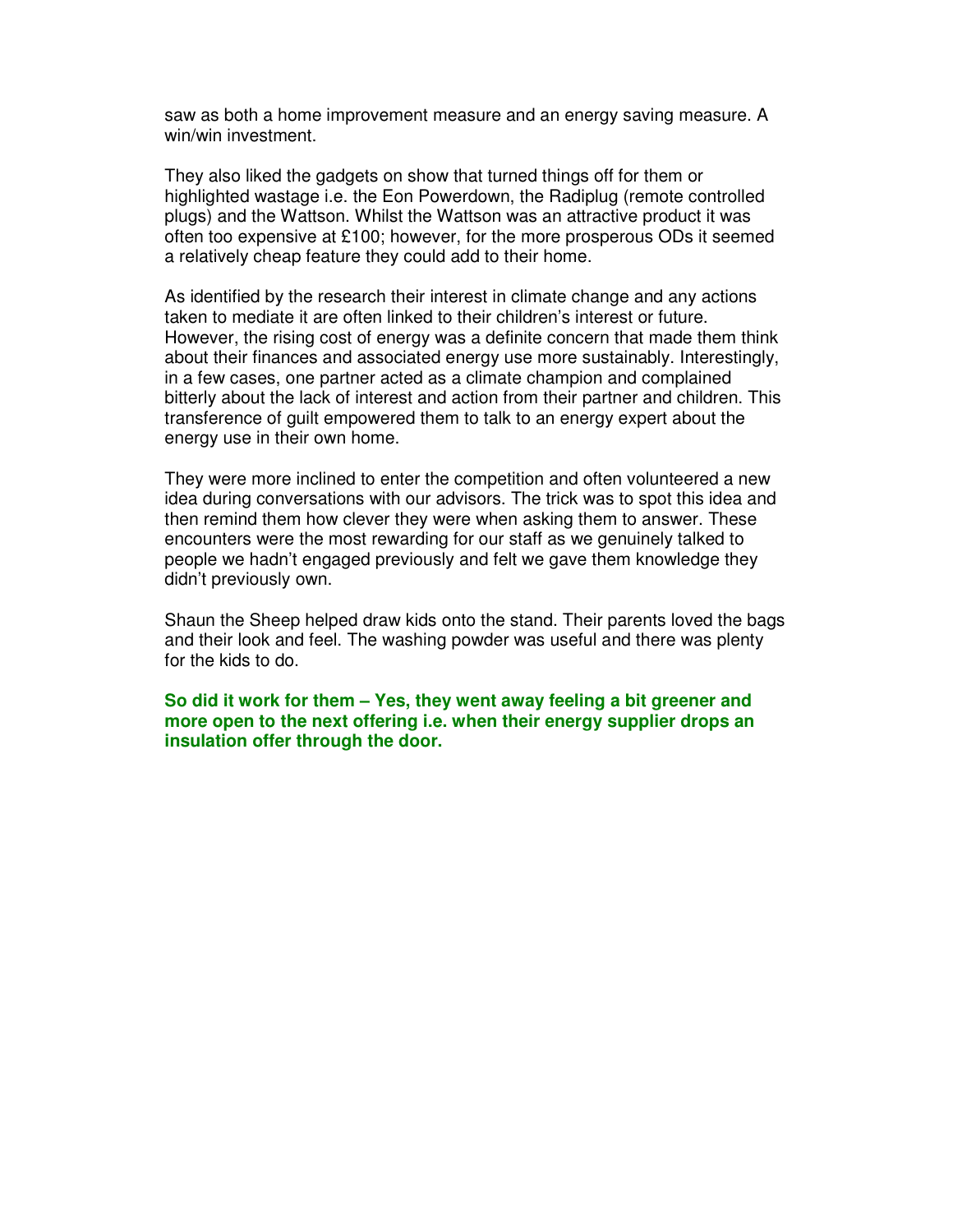saw as both a home improvement measure and an energy saving measure. A win/win investment.

They also liked the gadgets on show that turned things off for them or highlighted wastage i.e. the Eon Powerdown, the Radiplug (remote controlled plugs) and the Wattson. Whilst the Wattson was an attractive product it was often too expensive at £100; however, for the more prosperous ODs it seemed a relatively cheap feature they could add to their home.

As identified by the research their interest in climate change and any actions taken to mediate it are often linked to their children's interest or future. However, the rising cost of energy was a definite concern that made them think about their finances and associated energy use more sustainably. Interestingly, in a few cases, one partner acted as a climate champion and complained bitterly about the lack of interest and action from their partner and children. This transference of guilt empowered them to talk to an energy expert about the energy use in their own home.

They were more inclined to enter the competition and often volunteered a new idea during conversations with our advisors. The trick was to spot this idea and then remind them how clever they were when asking them to answer. These encounters were the most rewarding for our staff as we genuinely talked to people we hadn't engaged previously and felt we gave them knowledge they didn't previously own.

Shaun the Sheep helped draw kids onto the stand. Their parents loved the bags and their look and feel. The washing powder was useful and there was plenty for the kids to do.

**So did it work for them – Yes, they went away feeling a bit greener and more open to the next offering i.e. when their energy supplier drops an insulation offer through the door.**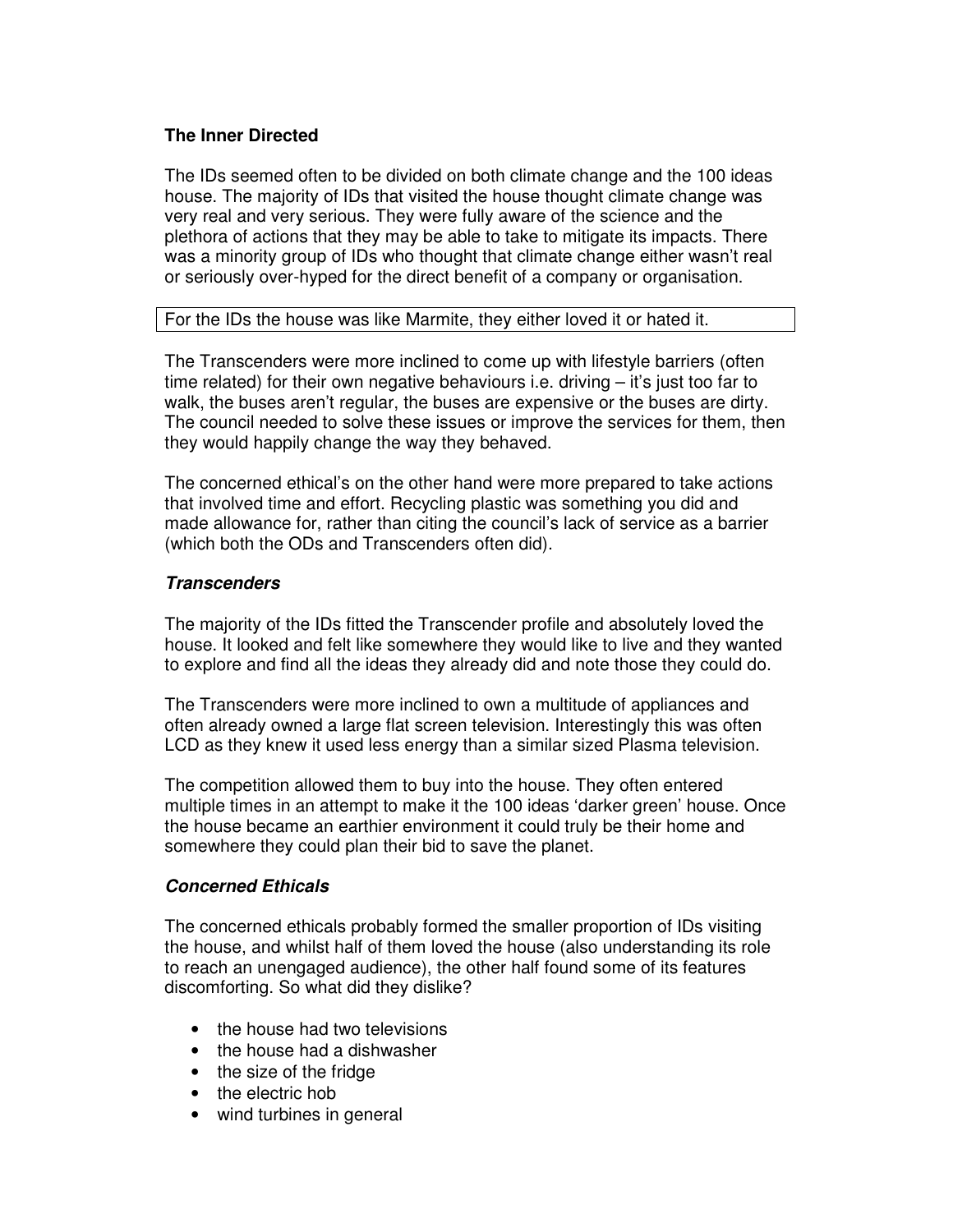## **The Inner Directed**

The IDs seemed often to be divided on both climate change and the 100 ideas house. The majority of IDs that visited the house thought climate change was very real and very serious. They were fully aware of the science and the plethora of actions that they may be able to take to mitigate its impacts. There was a minority group of IDs who thought that climate change either wasn't real or seriously over-hyped for the direct benefit of a company or organisation.

## For the IDs the house was like Marmite, they either loved it or hated it.

The Transcenders were more inclined to come up with lifestyle barriers (often time related) for their own negative behaviours i.e. driving – it's just too far to walk, the buses aren't regular, the buses are expensive or the buses are dirty. The council needed to solve these issues or improve the services for them, then they would happily change the way they behaved.

The concerned ethical's on the other hand were more prepared to take actions that involved time and effort. Recycling plastic was something you did and made allowance for, rather than citing the council's lack of service as a barrier (which both the ODs and Transcenders often did).

# **Transcenders**

The majority of the IDs fitted the Transcender profile and absolutely loved the house. It looked and felt like somewhere they would like to live and they wanted to explore and find all the ideas they already did and note those they could do.

The Transcenders were more inclined to own a multitude of appliances and often already owned a large flat screen television. Interestingly this was often LCD as they knew it used less energy than a similar sized Plasma television.

The competition allowed them to buy into the house. They often entered multiple times in an attempt to make it the 100 ideas 'darker green' house. Once the house became an earthier environment it could truly be their home and somewhere they could plan their bid to save the planet.

## **Concerned Ethicals**

The concerned ethicals probably formed the smaller proportion of IDs visiting the house, and whilst half of them loved the house (also understanding its role to reach an unengaged audience), the other half found some of its features discomforting. So what did they dislike?

- the house had two televisions
- the house had a dishwasher
- the size of the fridge
- the electric hob
- wind turbines in general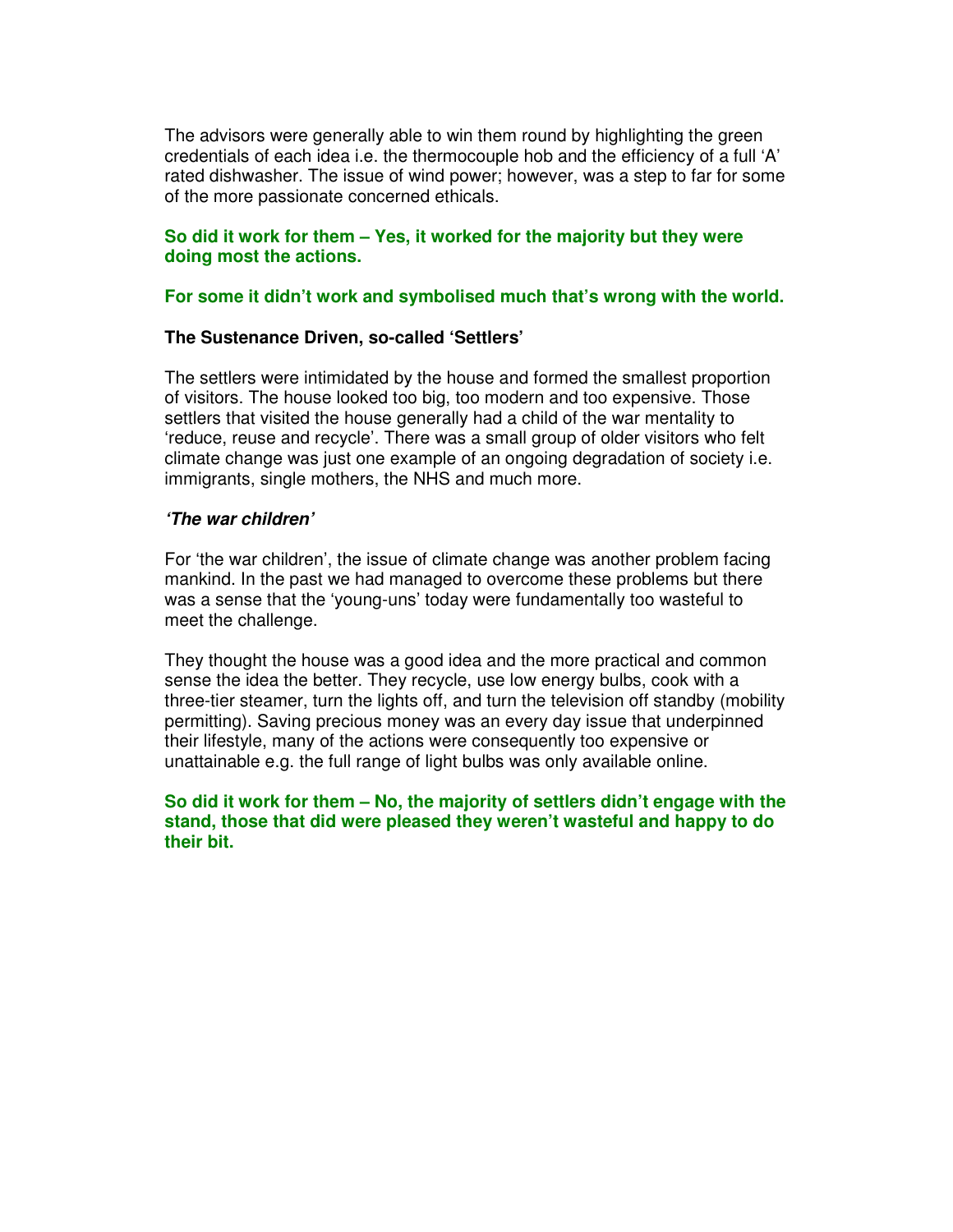The advisors were generally able to win them round by highlighting the green credentials of each idea i.e. the thermocouple hob and the efficiency of a full 'A' rated dishwasher. The issue of wind power; however, was a step to far for some of the more passionate concerned ethicals.

### **So did it work for them – Yes, it worked for the majority but they were doing most the actions.**

### **For some it didn't work and symbolised much that's wrong with the world.**

### **The Sustenance Driven, so-called 'Settlers'**

The settlers were intimidated by the house and formed the smallest proportion of visitors. The house looked too big, too modern and too expensive. Those settlers that visited the house generally had a child of the war mentality to 'reduce, reuse and recycle'. There was a small group of older visitors who felt climate change was just one example of an ongoing degradation of society i.e. immigrants, single mothers, the NHS and much more.

### **'The war children'**

For 'the war children', the issue of climate change was another problem facing mankind. In the past we had managed to overcome these problems but there was a sense that the 'young-uns' today were fundamentally too wasteful to meet the challenge.

They thought the house was a good idea and the more practical and common sense the idea the better. They recycle, use low energy bulbs, cook with a three-tier steamer, turn the lights off, and turn the television off standby (mobility permitting). Saving precious money was an every day issue that underpinned their lifestyle, many of the actions were consequently too expensive or unattainable e.g. the full range of light bulbs was only available online.

## **So did it work for them – No, the majority of settlers didn't engage with the stand, those that did were pleased they weren't wasteful and happy to do their bit.**